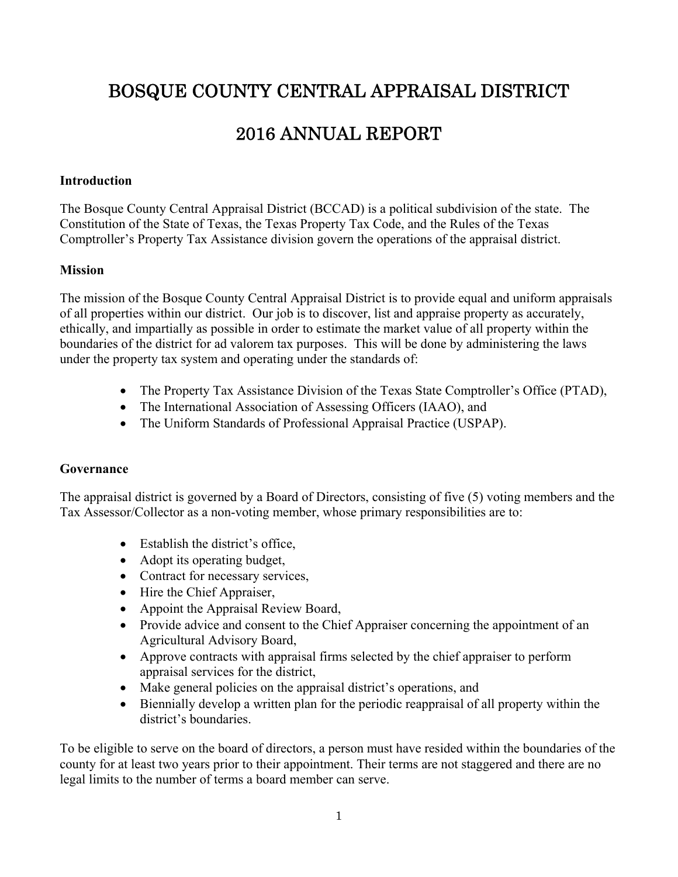# BOSQUE COUNTY CENTRAL APPRAISAL DISTRICT

# 2016 ANNUAL REPORT

#### **Introduction**

The Bosque County Central Appraisal District (BCCAD) is a political subdivision of the state. The Constitution of the State of Texas, the Texas Property Tax Code, and the Rules of the Texas Comptroller's Property Tax Assistance division govern the operations of the appraisal district.

#### **Mission**

The mission of the Bosque County Central Appraisal District is to provide equal and uniform appraisals of all properties within our district. Our job is to discover, list and appraise property as accurately, ethically, and impartially as possible in order to estimate the market value of all property within the boundaries of the district for ad valorem tax purposes. This will be done by administering the laws under the property tax system and operating under the standards of:

- The Property Tax Assistance Division of the Texas State Comptroller's Office (PTAD),
- The International Association of Assessing Officers (IAAO), and
- The Uniform Standards of Professional Appraisal Practice (USPAP).

## **Governance**

The appraisal district is governed by a Board of Directors, consisting of five (5) voting members and the Tax Assessor/Collector as a non-voting member, whose primary responsibilities are to:

- Establish the district's office,
- Adopt its operating budget,
- Contract for necessary services,
- Hire the Chief Appraiser,
- Appoint the Appraisal Review Board,
- Provide advice and consent to the Chief Appraiser concerning the appointment of an Agricultural Advisory Board,
- Approve contracts with appraisal firms selected by the chief appraiser to perform appraisal services for the district,
- Make general policies on the appraisal district's operations, and
- Biennially develop a written plan for the periodic reappraisal of all property within the district's boundaries.

To be eligible to serve on the board of directors, a person must have resided within the boundaries of the county for at least two years prior to their appointment. Their terms are not staggered and there are no legal limits to the number of terms a board member can serve.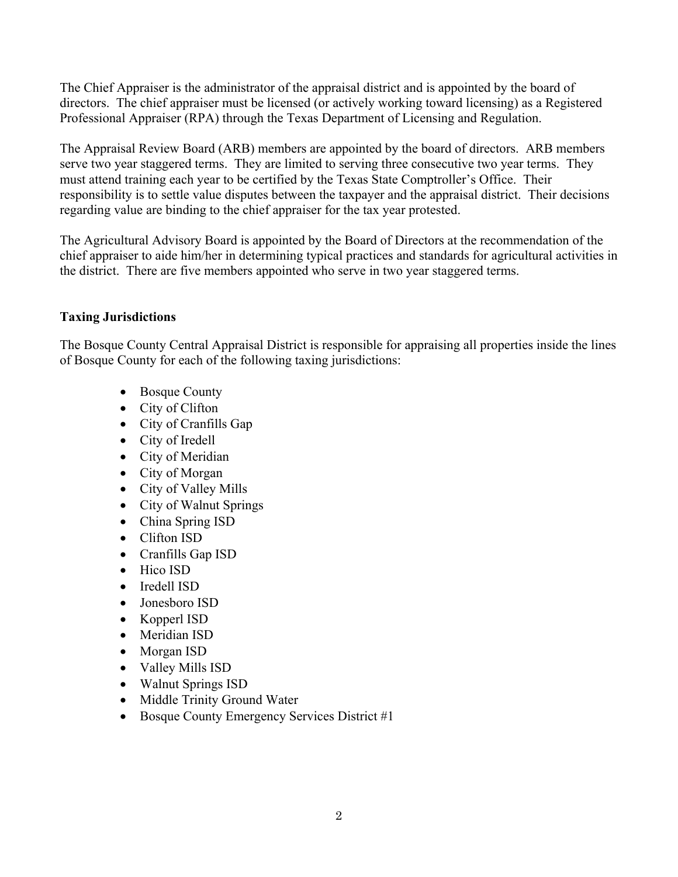The Chief Appraiser is the administrator of the appraisal district and is appointed by the board of directors. The chief appraiser must be licensed (or actively working toward licensing) as a Registered Professional Appraiser (RPA) through the Texas Department of Licensing and Regulation.

The Appraisal Review Board (ARB) members are appointed by the board of directors. ARB members serve two year staggered terms. They are limited to serving three consecutive two year terms. They must attend training each year to be certified by the Texas State Comptroller's Office. Their responsibility is to settle value disputes between the taxpayer and the appraisal district. Their decisions regarding value are binding to the chief appraiser for the tax year protested.

The Agricultural Advisory Board is appointed by the Board of Directors at the recommendation of the chief appraiser to aide him/her in determining typical practices and standards for agricultural activities in the district. There are five members appointed who serve in two year staggered terms.

## **Taxing Jurisdictions**

The Bosque County Central Appraisal District is responsible for appraising all properties inside the lines of Bosque County for each of the following taxing jurisdictions:

- Bosque County
- City of Clifton
- City of Cranfills Gap
- City of Iredell
- City of Meridian
- City of Morgan
- City of Valley Mills
- City of Walnut Springs
- China Spring ISD
- Clifton ISD
- Cranfills Gap ISD
- Hico ISD
- Iredell ISD
- Jonesboro ISD
- Kopperl ISD
- Meridian ISD
- Morgan ISD
- Valley Mills ISD
- Walnut Springs ISD
- Middle Trinity Ground Water
- Bosque County Emergency Services District #1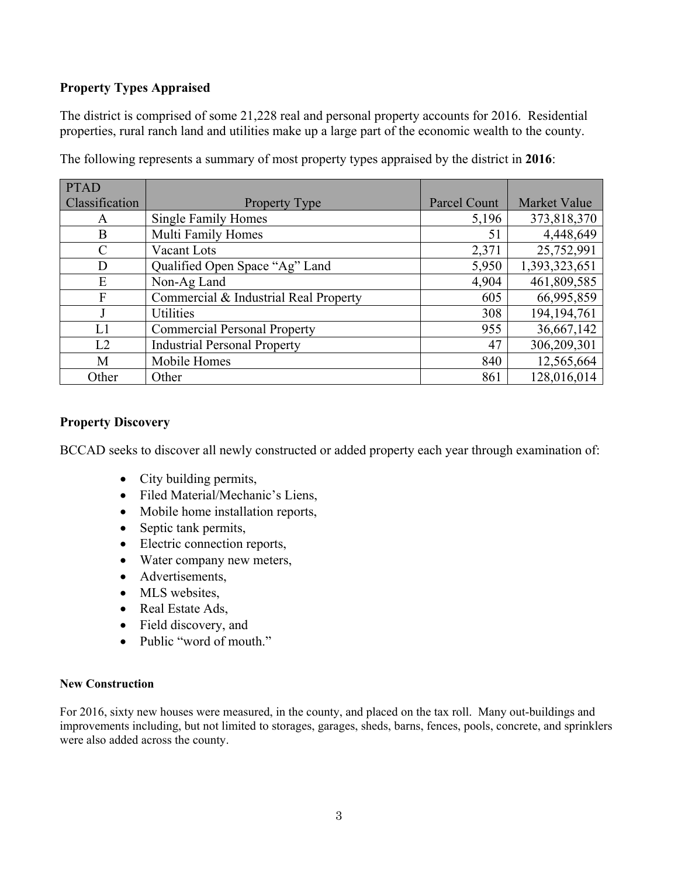## **Property Types Appraised**

The district is comprised of some 21,228 real and personal property accounts for 2016. Residential properties, rural ranch land and utilities make up a large part of the economic wealth to the county.

| <b>PTAD</b>    |                                       |              |                     |
|----------------|---------------------------------------|--------------|---------------------|
| Classification | <b>Property Type</b>                  | Parcel Count | <b>Market Value</b> |
| A              | <b>Single Family Homes</b>            | 5,196        | 373,818,370         |
| B              | Multi Family Homes                    | 51           | 4,448,649           |
| C              | Vacant Lots                           | 2,371        | 25,752,991          |
| D              | Qualified Open Space "Ag" Land        | 5,950        | 1,393,323,651       |
| E              | Non-Ag Land                           | 4,904        | 461,809,585         |
| F              | Commercial & Industrial Real Property | 605          | 66,995,859          |
|                | <b>Utilities</b>                      | 308          | 194, 194, 761       |
| L1             | <b>Commercial Personal Property</b>   | 955          | 36,667,142          |
| L2             | <b>Industrial Personal Property</b>   | 47           | 306,209,301         |
| M              | Mobile Homes                          | 840          | 12,565,664          |
| Other          | Other                                 | 861          | 128,016,014         |

The following represents a summary of most property types appraised by the district in **2016**:

## **Property Discovery**

BCCAD seeks to discover all newly constructed or added property each year through examination of:

- City building permits,
- Filed Material/Mechanic's Liens,
- Mobile home installation reports,
- Septic tank permits,
- Electric connection reports,
- Water company new meters,
- Advertisements,
- MLS websites,
- Real Estate Ads,
- Field discovery, and
- Public "word of mouth."

#### **New Construction**

For 2016, sixty new houses were measured, in the county, and placed on the tax roll. Many out-buildings and improvements including, but not limited to storages, garages, sheds, barns, fences, pools, concrete, and sprinklers were also added across the county.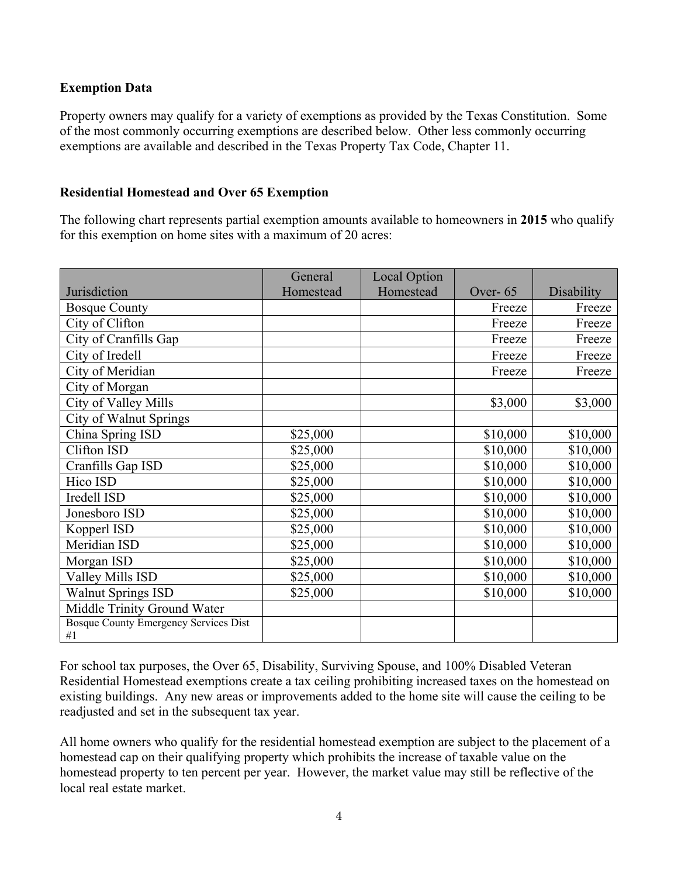## **Exemption Data**

Property owners may qualify for a variety of exemptions as provided by the Texas Constitution. Some of the most commonly occurring exemptions are described below. Other less commonly occurring exemptions are available and described in the Texas Property Tax Code, Chapter 11.

## **Residential Homestead and Over 65 Exemption**

The following chart represents partial exemption amounts available to homeowners in **2015** who qualify for this exemption on home sites with a maximum of 20 acres:

|                                              | General   | <b>Local Option</b> |            |            |
|----------------------------------------------|-----------|---------------------|------------|------------|
| Jurisdiction                                 | Homestead | Homestead           | Over- $65$ | Disability |
| <b>Bosque County</b>                         |           |                     | Freeze     | Freeze     |
| City of Clifton                              |           |                     | Freeze     | Freeze     |
| City of Cranfills Gap                        |           |                     | Freeze     | Freeze     |
| City of Iredell                              |           |                     | Freeze     | Freeze     |
| City of Meridian                             |           |                     | Freeze     | Freeze     |
| City of Morgan                               |           |                     |            |            |
| City of Valley Mills                         |           |                     | \$3,000    | \$3,000    |
| <b>City of Walnut Springs</b>                |           |                     |            |            |
| China Spring ISD                             | \$25,000  |                     | \$10,000   | \$10,000   |
| Clifton ISD                                  | \$25,000  |                     | \$10,000   | \$10,000   |
| Cranfills Gap ISD                            | \$25,000  |                     | \$10,000   | \$10,000   |
| Hico ISD                                     | \$25,000  |                     | \$10,000   | \$10,000   |
| Iredell ISD                                  | \$25,000  |                     | \$10,000   | \$10,000   |
| Jonesboro ISD                                | \$25,000  |                     | \$10,000   | \$10,000   |
| Kopperl ISD                                  | \$25,000  |                     | \$10,000   | \$10,000   |
| Meridian ISD                                 | \$25,000  |                     | \$10,000   | \$10,000   |
| Morgan ISD                                   | \$25,000  |                     | \$10,000   | \$10,000   |
| Valley Mills ISD                             | \$25,000  |                     | \$10,000   | \$10,000   |
| <b>Walnut Springs ISD</b>                    | \$25,000  |                     | \$10,000   | \$10,000   |
| Middle Trinity Ground Water                  |           |                     |            |            |
| <b>Bosque County Emergency Services Dist</b> |           |                     |            |            |
| #1                                           |           |                     |            |            |

For school tax purposes, the Over 65, Disability, Surviving Spouse, and 100% Disabled Veteran Residential Homestead exemptions create a tax ceiling prohibiting increased taxes on the homestead on existing buildings. Any new areas or improvements added to the home site will cause the ceiling to be readjusted and set in the subsequent tax year.

All home owners who qualify for the residential homestead exemption are subject to the placement of a homestead cap on their qualifying property which prohibits the increase of taxable value on the homestead property to ten percent per year. However, the market value may still be reflective of the local real estate market.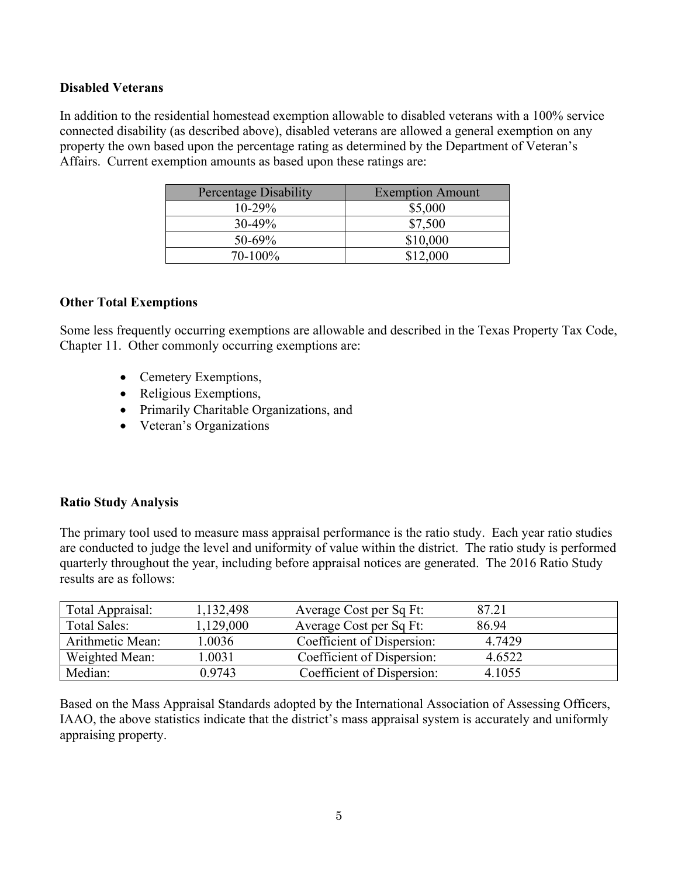#### **Disabled Veterans**

In addition to the residential homestead exemption allowable to disabled veterans with a 100% service connected disability (as described above), disabled veterans are allowed a general exemption on any property the own based upon the percentage rating as determined by the Department of Veteran's Affairs. Current exemption amounts as based upon these ratings are:

| <b>Percentage Disability</b> | <b>Exemption Amount</b> |
|------------------------------|-------------------------|
| $10 - 29\%$                  | \$5,000                 |
| $30-49\%$                    | \$7,500                 |
| $50 - 69\%$                  | \$10,000                |
| $70 - 100\%$                 | \$12,000                |

#### **Other Total Exemptions**

Some less frequently occurring exemptions are allowable and described in the Texas Property Tax Code, Chapter 11. Other commonly occurring exemptions are:

- Cemetery Exemptions,
- Religious Exemptions,
- Primarily Charitable Organizations, and
- Veteran's Organizations

## **Ratio Study Analysis**

The primary tool used to measure mass appraisal performance is the ratio study. Each year ratio studies are conducted to judge the level and uniformity of value within the district. The ratio study is performed quarterly throughout the year, including before appraisal notices are generated. The 2016 Ratio Study results are as follows:

| Total Appraisal: | 1,132,498 | Average Cost per Sq Ft:    | 87.21  |  |
|------------------|-----------|----------------------------|--------|--|
| Total Sales:     | 1,129,000 | Average Cost per Sq Ft:    | 86.94  |  |
| Arithmetic Mean: | 1.0036    | Coefficient of Dispersion: | 4.7429 |  |
| Weighted Mean:   | 1.0031    | Coefficient of Dispersion: | 4.6522 |  |
| Median:          | 0.9743    | Coefficient of Dispersion: | 4.1055 |  |

Based on the Mass Appraisal Standards adopted by the International Association of Assessing Officers, IAAO, the above statistics indicate that the district's mass appraisal system is accurately and uniformly appraising property.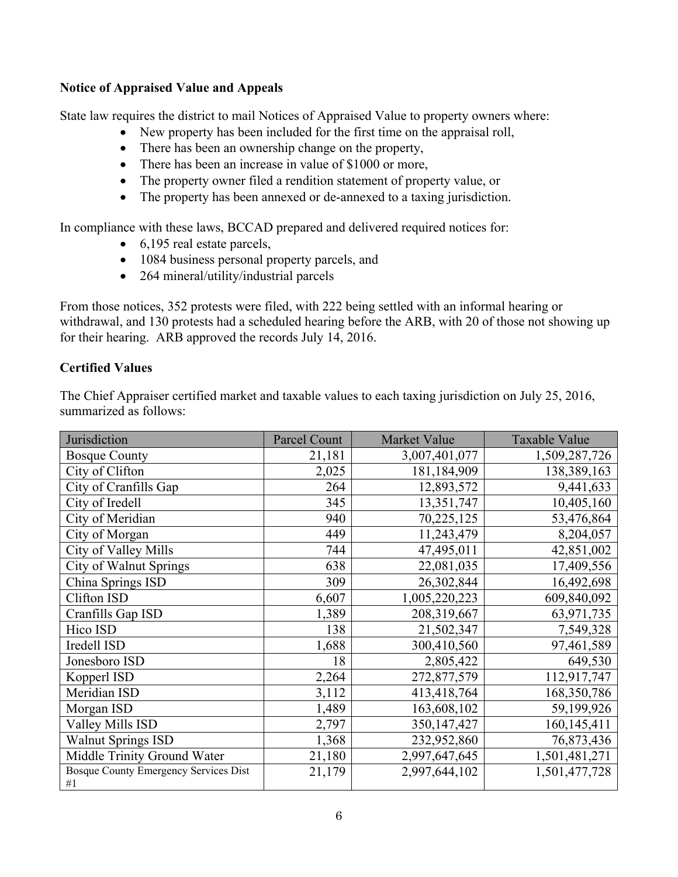#### **Notice of Appraised Value and Appeals**

State law requires the district to mail Notices of Appraised Value to property owners where:

- New property has been included for the first time on the appraisal roll,
- There has been an ownership change on the property,
- There has been an increase in value of \$1000 or more,
- The property owner filed a rendition statement of property value, or
- The property has been annexed or de-annexed to a taxing jurisdiction.

In compliance with these laws, BCCAD prepared and delivered required notices for:

- 6,195 real estate parcels,
- 1084 business personal property parcels, and
- 264 mineral/utility/industrial parcels

From those notices, 352 protests were filed, with 222 being settled with an informal hearing or withdrawal, and 130 protests had a scheduled hearing before the ARB, with 20 of those not showing up for their hearing. ARB approved the records July 14, 2016.

## **Certified Values**

The Chief Appraiser certified market and taxable values to each taxing jurisdiction on July 25, 2016, summarized as follows:

| Jurisdiction                                | <b>Parcel Count</b> | Market Value  | <b>Taxable Value</b> |
|---------------------------------------------|---------------------|---------------|----------------------|
| <b>Bosque County</b>                        | 21,181              | 3,007,401,077 | 1,509,287,726        |
| City of Clifton                             | 2,025               | 181,184,909   | 138,389,163          |
| City of Cranfills Gap                       | 264                 | 12,893,572    | 9,441,633            |
| City of Iredell                             | 345                 | 13,351,747    | 10,405,160           |
| City of Meridian                            | 940                 | 70,225,125    | 53,476,864           |
| City of Morgan                              | 449                 | 11,243,479    | 8,204,057            |
| City of Valley Mills                        | 744                 | 47,495,011    | 42,851,002           |
| <b>City of Walnut Springs</b>               | 638                 | 22,081,035    | 17,409,556           |
| China Springs ISD                           | 309                 | 26,302,844    | 16,492,698           |
| Clifton ISD                                 | 6,607               | 1,005,220,223 | 609,840,092          |
| Cranfills Gap ISD                           | 1,389               | 208,319,667   | 63,971,735           |
| Hico ISD                                    | 138                 | 21,502,347    | 7,549,328            |
| Iredell ISD                                 | 1,688               | 300,410,560   | 97,461,589           |
| Jonesboro ISD                               | 18                  | 2,805,422     | 649,530              |
| Kopperl ISD                                 | 2,264               | 272,877,579   | 112,917,747          |
| Meridian ISD                                | 3,112               | 413,418,764   | 168,350,786          |
| Morgan ISD                                  | 1,489               | 163,608,102   | 59,199,926           |
| Valley Mills ISD                            | 2,797               | 350,147,427   | 160, 145, 411        |
| <b>Walnut Springs ISD</b>                   | 1,368               | 232,952,860   | 76,873,436           |
| Middle Trinity Ground Water                 | 21,180              | 2,997,647,645 | 1,501,481,271        |
| Bosque County Emergency Services Dist<br>#1 | 21,179              | 2,997,644,102 | 1,501,477,728        |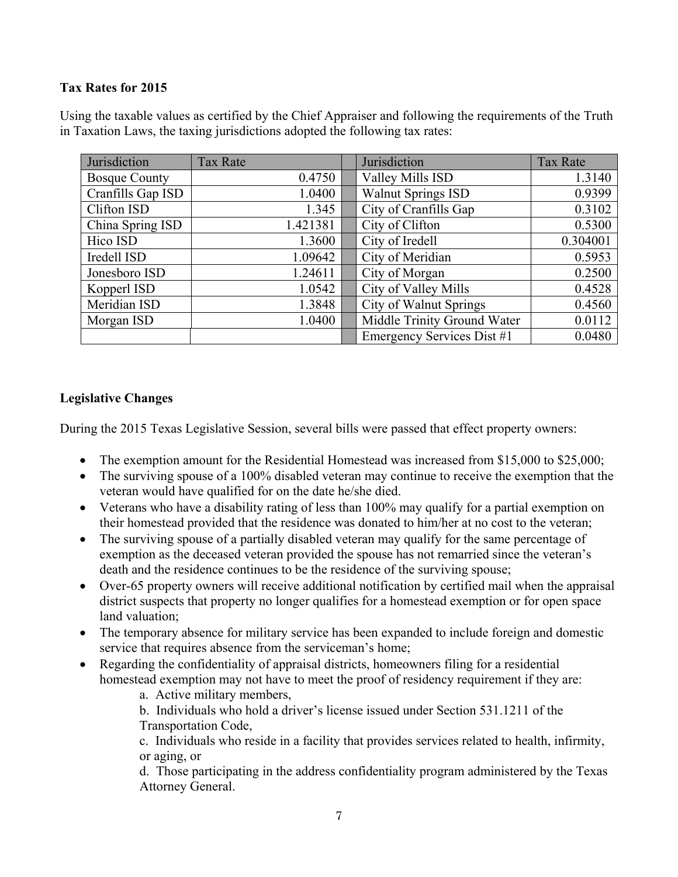## **Tax Rates for 2015**

Using the taxable values as certified by the Chief Appraiser and following the requirements of the Truth in Taxation Laws, the taxing jurisdictions adopted the following tax rates:

| Jurisdiction         | <b>Tax Rate</b> | Jurisdiction                  | <b>Tax Rate</b> |
|----------------------|-----------------|-------------------------------|-----------------|
| <b>Bosque County</b> | 0.4750          | Valley Mills ISD              | 1.3140          |
| Cranfills Gap ISD    | 1.0400          | <b>Walnut Springs ISD</b>     | 0.9399          |
| Clifton ISD          | 1.345           | City of Cranfills Gap         | 0.3102          |
| China Spring ISD     | 1.421381        | City of Clifton               | 0.5300          |
| Hico ISD             | 1.3600          | City of Iredell               | 0.304001        |
| Iredell ISD          | 1.09642         | City of Meridian              | 0.5953          |
| Jonesboro ISD        | 1.24611         | City of Morgan                | 0.2500          |
| Kopperl ISD          | 1.0542          | City of Valley Mills          | 0.4528          |
| Meridian ISD         | 1.3848          | <b>City of Walnut Springs</b> | 0.4560          |
| Morgan ISD           | 1.0400          | Middle Trinity Ground Water   | 0.0112          |
|                      |                 | Emergency Services Dist #1    | 0.0480          |

## **Legislative Changes**

During the 2015 Texas Legislative Session, several bills were passed that effect property owners:

- The exemption amount for the Residential Homestead was increased from \$15,000 to \$25,000;
- The surviving spouse of a 100% disabled veteran may continue to receive the exemption that the veteran would have qualified for on the date he/she died.
- Veterans who have a disability rating of less than 100% may qualify for a partial exemption on their homestead provided that the residence was donated to him/her at no cost to the veteran;
- The surviving spouse of a partially disabled veteran may qualify for the same percentage of exemption as the deceased veteran provided the spouse has not remarried since the veteran's death and the residence continues to be the residence of the surviving spouse;
- Over-65 property owners will receive additional notification by certified mail when the appraisal district suspects that property no longer qualifies for a homestead exemption or for open space land valuation;
- The temporary absence for military service has been expanded to include foreign and domestic service that requires absence from the serviceman's home;
- Regarding the confidentiality of appraisal districts, homeowners filing for a residential homestead exemption may not have to meet the proof of residency requirement if they are:
	- a. Active military members,

b. Individuals who hold a driver's license issued under Section 531.1211 of the Transportation Code,

c. Individuals who reside in a facility that provides services related to health, infirmity, or aging, or

d. Those participating in the address confidentiality program administered by the Texas Attorney General.